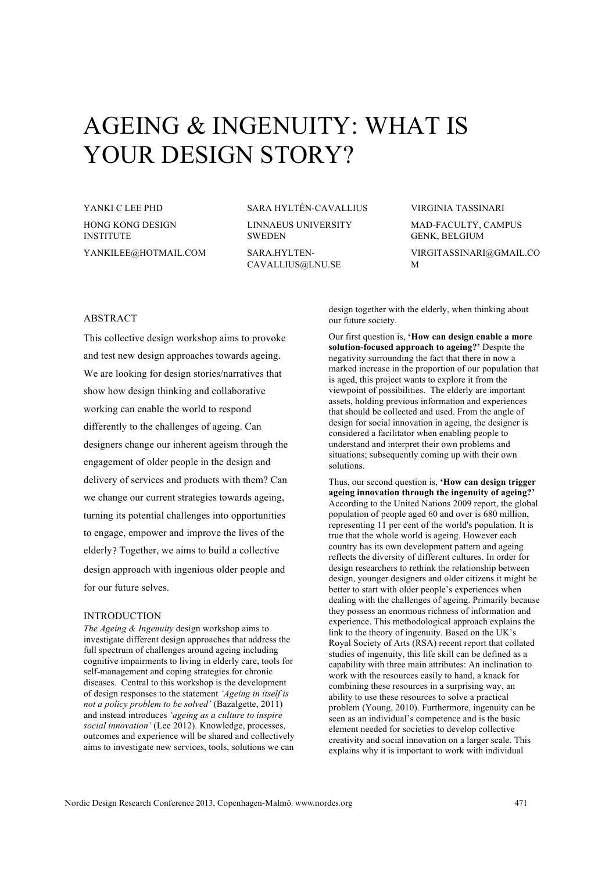# AGEING & INGENUITY: WHAT IS YOUR DESIGN STORY?

YANKI C LEE PHD HONG KONG DESIGN **INSTITUTE** YANKILEE@HOTMAIL.COM SARA HYLTÉN-CAVALLIUS

LINNAEUS UNIVERSITY **SWEDEN** SARA.HYLTEN-

CAVALLIUS@LNU.SE

VIRGINIA TASSINARI

MAD-FACULTY, CAMPUS GENK, BELGIUM

VIRGITASSINARI@GMAIL.CO M

### ABSTRACT

This collective design workshop aims to provoke and test new design approaches towards ageing. We are looking for design stories/narratives that show how design thinking and collaborative working can enable the world to respond differently to the challenges of ageing. Can designers change our inherent ageism through the engagement of older people in the design and delivery of services and products with them? Can we change our current strategies towards ageing, turning its potential challenges into opportunities to engage, empower and improve the lives of the elderly? Together, we aims to build a collective design approach with ingenious older people and for our future selves.

# INTRODUCTION

*The Ageing & Ingenuity* design workshop aims to investigate different design approaches that address the full spectrum of challenges around ageing including cognitive impairments to living in elderly care, tools for self-management and coping strategies for chronic diseases. Central to this workshop is the development of design responses to the statement *'Ageing in itself is not a policy problem to be solved'* (Bazalgette, 2011) and instead introduces *'ageing as a culture to inspire social innovation'* (Lee 2012). Knowledge, processes, outcomes and experience will be shared and collectively aims to investigate new services, tools, solutions we can

design together with the elderly, when thinking about our future society.

Our first question is, **'How can design enable a more solution-focused approach to ageing?'** Despite the negativity surrounding the fact that there in now a marked increase in the proportion of our population that is aged, this project wants to explore it from the viewpoint of possibilities. The elderly are important assets, holding previous information and experiences that should be collected and used. From the angle of design for social innovation in ageing, the designer is considered a facilitator when enabling people to understand and interpret their own problems and situations; subsequently coming up with their own solutions.

Thus, our second question is, **'How can design trigger ageing innovation through the ingenuity of ageing?'** According to the United Nations 2009 report, the global population of people aged 60 and over is 680 million, representing 11 per cent of the world's population. It is true that the whole world is ageing. However each country has its own development pattern and ageing reflects the diversity of different cultures. In order for design researchers to rethink the relationship between design, younger designers and older citizens it might be better to start with older people's experiences when dealing with the challenges of ageing. Primarily because they possess an enormous richness of information and experience. This methodological approach explains the link to the theory of ingenuity. Based on the UK's Royal Society of Arts (RSA) recent report that collated studies of ingenuity, this life skill can be defined as a capability with three main attributes: An inclination to work with the resources easily to hand, a knack for combining these resources in a surprising way, an ability to use these resources to solve a practical problem (Young, 2010). Furthermore, ingenuity can be seen as an individual's competence and is the basic element needed for societies to develop collective creativity and social innovation on a larger scale. This explains why it is important to work with individual